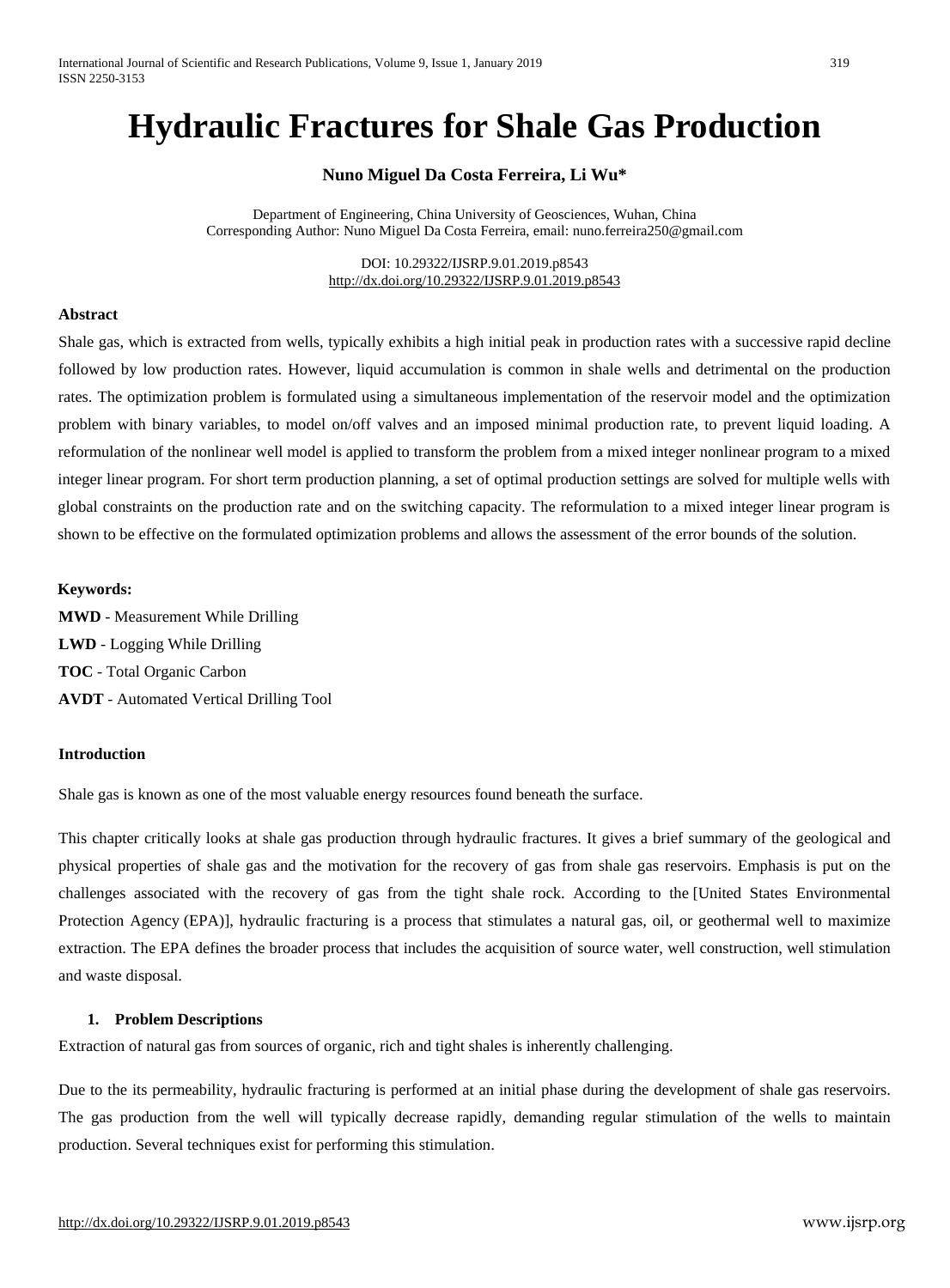# **Hydraulic Fractures for Shale Gas Production**

# **Nuno Miguel Da Costa Ferreira, Li Wu\***

Department of Engineering, China University of Geosciences, Wuhan, China Corresponding Author: Nuno Miguel Da Costa Ferreira, email: [nuno.ferreira250@gmail.com](mailto:nuno.ferreira250@gmail.com)

> DOI: 10.29322/IJSRP.9.01.2019.p8543 <http://dx.doi.org/10.29322/IJSRP.9.01.2019.p8543>

## **Abstract**

Shale gas, which is extracted from wells, typically exhibits a high initial peak in production rates with a successive rapid decline followed by low production rates. However, liquid accumulation is common in shale wells and detrimental on the production rates. The optimization problem is formulated using a simultaneous implementation of the reservoir model and the optimization problem with binary variables, to model on/off valves and an imposed minimal production rate, to prevent liquid loading. A reformulation of the nonlinear well model is applied to transform the problem from a mixed integer nonlinear program to a mixed integer linear program. For short term production planning, a set of optimal production settings are solved for multiple wells with global constraints on the production rate and on the switching capacity. The reformulation to a mixed integer linear program is shown to be effective on the formulated optimization problems and allows the assessment of the error bounds of the solution.

#### **Keywords:**

**MWD** - Measurement While Drilling **LWD** - [Logging](https://en.wikipedia.org/wiki/Logging_While_Drilling) While Drilling **TOC** - Total Organic Carbon **AVDT** - Automated Vertical Drilling Tool

#### **Introduction**

Shale gas is known as one of the most valuable energy resources found beneath the surface.

This chapter critically looks at shale gas production through hydraulic fractures. It gives a brief summary of the geological and physical properties of shale gas and the motivation for the recovery of gas from shale gas reservoirs. Emphasis is put on the challenges associated with the recovery of gas from the tight shale rock. According to the [United States [Environmental](https://en.wikipedia.org/wiki/United_States_Environmental_Protection_Agency) [Protection](https://en.wikipedia.org/wiki/United_States_Environmental_Protection_Agency) Agency (EPA)], hydraulic fracturing is a process that stimulates a natural gas, oil, or geothermal well to maximize extraction. The EPA defines the broader process that includes the acquisition of source water, well construction, well stimulation and waste disposal.

#### **1. Problem Descriptions**

Extraction of natural gas from sources of organic, rich and tight shales is inherently challenging.

Due to the its permeability, hydraulic fracturing is performed at an initial phase during the development of shale gas reservoirs. The gas production from the well will typically decrease rapidly, demanding regular stimulation of the wells to maintain production. Several techniques exist for performing this stimulation.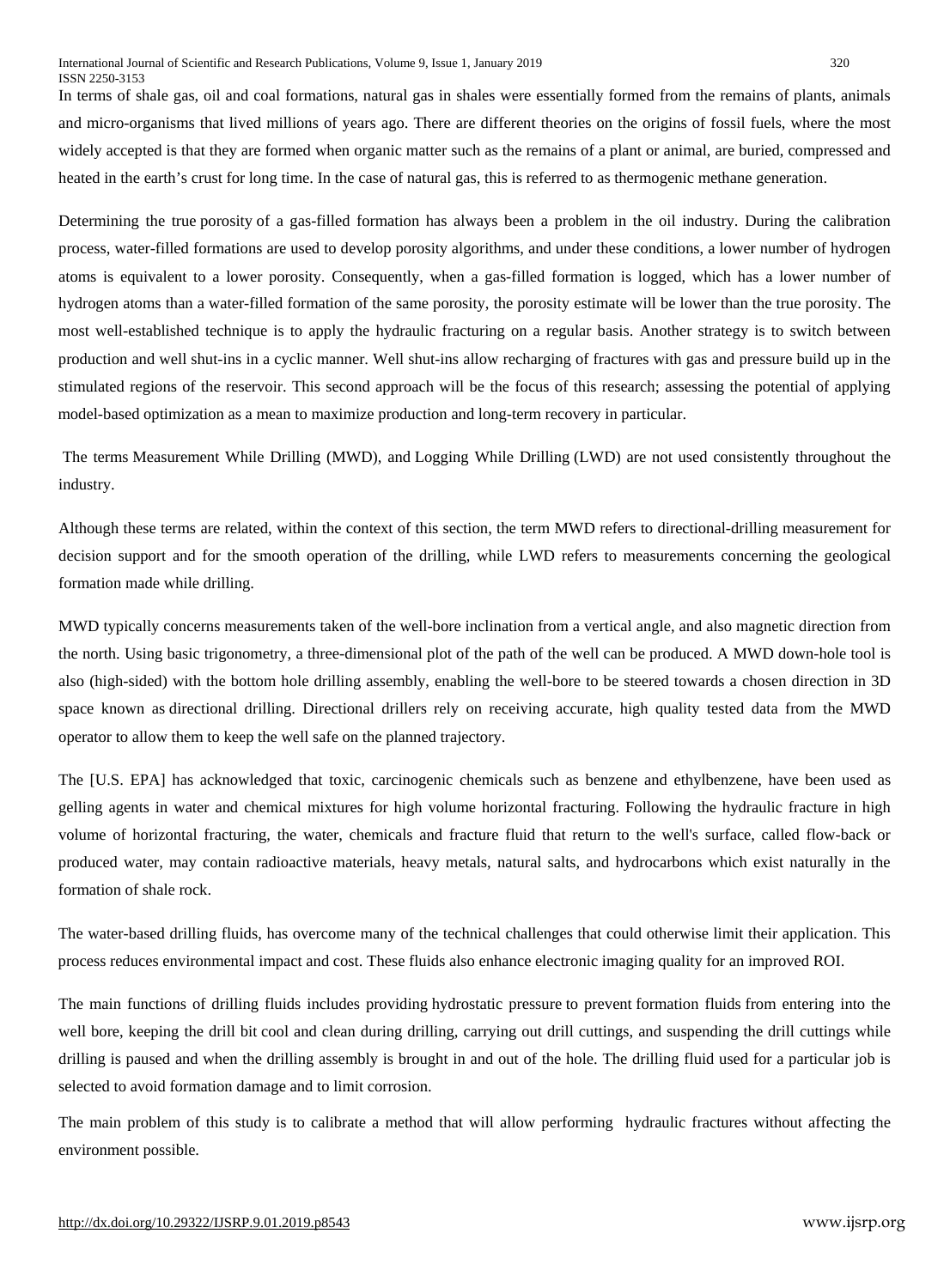In terms of shale gas, oil and coal formations, natural gas in shales were essentially formed from the remains of plants, animals and micro-organisms that lived millions of years ago. There are different theories on the origins of fossil fuels, where the most widely accepted is that they are formed when organic matter such as the remains of a plant or animal, are buried, compressed and heated in the earth's crust for long time. In the case of natural gas, this is referred to as thermogenic methane generation.

Determining the true [porosity](https://en.wikipedia.org/wiki/Porosity) of a gas-filled formation has always been a problem in the oil industry. During the calibration process, water-filled formations are used to develop porosity [algorithms,](https://en.wikipedia.org/wiki/Algorithm) and under these conditions, a lower number of hydrogen atoms is equivalent to a lower porosity. Consequently, when a gas-filled formation is logged, which has a lower number of hydrogen atoms than a water-filled formation of the same porosity, the porosity estimate will be lower than the true porosity. The most well-established technique is to apply the hydraulic fracturing on a regular basis. Another strategy is to switch between production and well shut-ins in a cyclic manner. Well shut-ins allow recharging of fractures with gas and pressure build up in the stimulated regions of the reservoir. This second approach will be the focus of this research; assessing the potential of applying model-based optimization as a mean to maximize production and long-term recovery in particular.

The terms Measurement While Drilling (MWD), and [Logging](https://en.wikipedia.org/wiki/Logging_While_Drilling) While Drilling (LWD) are not used consistently throughout the industry.

Although these terms are related, within the context of this section, the term MWD refers to directional-drilling measurement for decision support and for the smooth operation of the drilling, while LWD refers to measurements concerning the geological formation made while drilling.

MWD typically concerns measurements taken of the well-bore inclination from a vertical angle, and also magnetic direction from the north. Using basic trigonometry, a three-dimensional plot of the path of the well can be produced. A MWD down-hole tool is also (high-sided) with the bottom hole drilling assembly, enabling the well-bore to be steered towards a chosen direction in 3D space known as [directional](https://en.wikipedia.org/wiki/Directional_drilling) drilling. Directional drillers rely on receiving accurate, high quality tested data from the MWD operator to allow them to keep the well safe on the planned trajectory.

The [U.S. EPA] has acknowledged that toxic, carcinogenic chemicals such as benzene and ethylbenzene, have been used as gelling agents in water and chemical mixtures for high volume horizontal fracturing. Following the hydraulic fracture in high volume of horizontal fracturing, the water, chemicals and fracture fluid that return to the well's surface, called flow-back or produced water, may contain radioactive materials, heavy metals, natural salts, and hydrocarbons which exist naturally in the formation of shale rock.

The water-based drilling fluids, has overcome many of the technical challenges that could otherwise limit their application. This process reduces environmental impact and cost. These fluids also enhance electronic imaging quality for an improved ROI.

The main functions of drilling fluids includes providing [hydrostatic](https://en.wikipedia.org/wiki/Hydrostatic_pressure) pressure to prevent [formation](https://en.wikipedia.org/wiki/Formation_fluid) fluids from entering into the well bore, keeping the [drill](https://en.wikipedia.org/wiki/Well_drilling) bit cool and clean during drilling, carrying out drill cuttings, and suspending the drill cuttings while drilling is paused and when the drilling assembly is brought in and out of the hole. The drilling fluid used for a particular job is selected to avoid [formation](https://en.wikipedia.org/w/index.php?title=Formation_damage&action=edit&redlink=1) damage and to limit corrosion.

The main problem of this study is to calibrate a method that will allow performing hydraulic fractures without affecting the environment possible.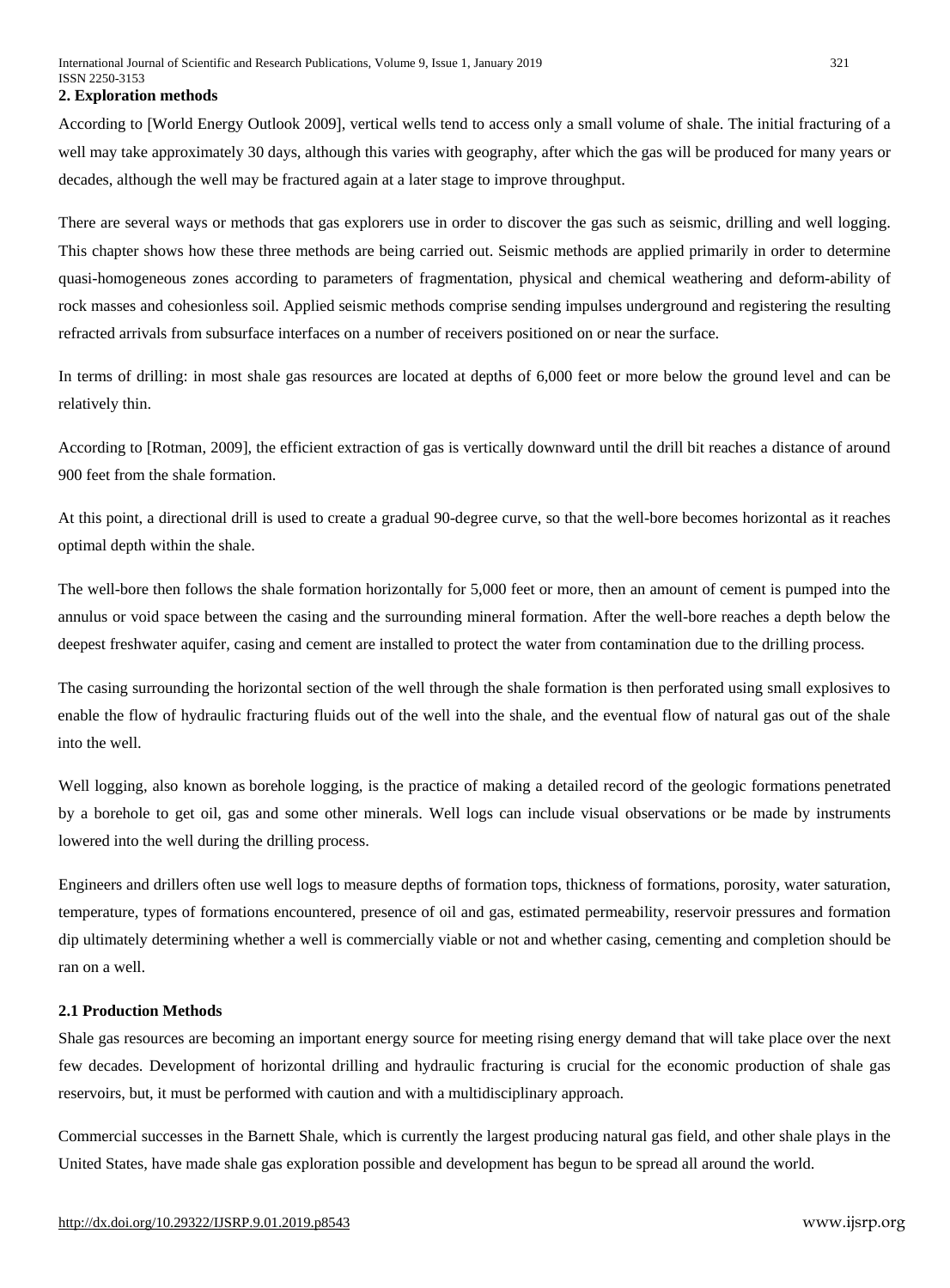#### **2. Exploration methods**

According to [World Energy Outlook 2009], vertical wells tend to access only a small volume of shale. The initial fracturing of a well may take approximately 30 days, although this varies with geography, after which the gas will be produced for many years or decades, although the well may be fractured again at a later stage to improve throughput.

There are several ways or methods that gas explorers use in order to discover the gas such as seismic, drilling and well logging. This chapter shows how these three methods are being carried out. Seismic methods are applied primarily in order to determine quasi-homogeneous zones according to parameters of fragmentation, physical and chemical weathering and deform-ability of rock masses and cohesionless soil. Applied seismic methods comprise sending impulses underground and registering the resulting refracted arrivals from subsurface interfaces on a number of receivers positioned on or near the surface.

In terms of drilling: in most shale gas resources are located at depths of 6,000 feet or more below the ground level and can be relatively thin.

According to [Rotman, 2009], the efficient extraction of gas is vertically downward until the drill bit reaches a distance of around 900 feet from the shale formation.

At this point, a directional drill is used to create a gradual 90-degree curve, so that the well-bore becomes horizontal as it reaches optimal depth within the shale.

The well-bore then follows the shale formation horizontally for 5,000 feet or more, then an amount of cement is pumped into the annulus or void space between the casing and the surrounding mineral formation. After the well-bore reaches a depth below the deepest freshwater aquifer, casing and cement are installed to protect the water from contamination due to the drilling process.

The casing surrounding the horizontal section of the well through the shale formation is then perforated using small explosives to enable the flow of hydraulic fracturing fluids out of the well into the shale, and the eventual flow of natural gas out of the shale into the well.

Well logging, also known as borehole logging, is the practice of making a detailed record of the geologic [formations](https://en.wikipedia.org/wiki/Formation_(stratigraphy)) penetrated by a [borehole](https://en.wikipedia.org/wiki/Borehole) to get oil, gas and some other minerals. Well logs can include visual observations or be made by instruments lowered into the well during the drilling process.

Engineers and drillers often use well logs to measure depths of formation tops, thickness of formations, porosity, water saturation, temperature, types of formations encountered, presence of oil and gas, estimated permeability, reservoir pressures and formation dip ultimately determining whether a well is commercially viable or not and whether casing, cementing and completion should be ran on a well.

#### **2.1 Production Methods**

Shale gas resources are becoming an important energy source for meeting rising energy demand that will take place over the next few decades. Development of horizontal drilling and hydraulic fracturing is crucial for the economic production of shale gas reservoirs, but, it must be performed with caution and with a multidisciplinary approach.

Commercial successes in the Barnett Shale, which is currently the largest producing natural gas field, and other shale plays in the United States, have made shale gas exploration possible and development has begun to be spread all around the world.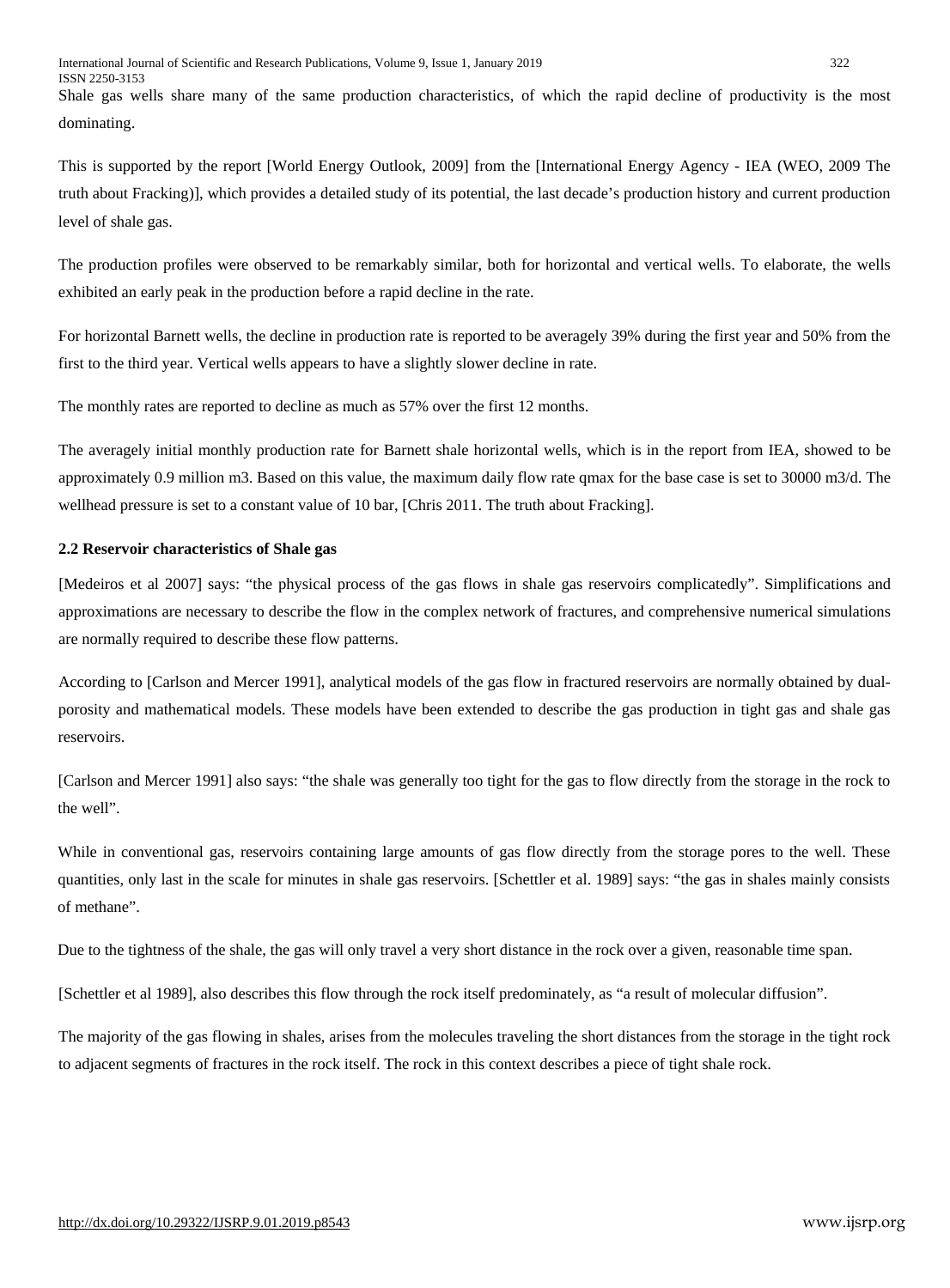Shale gas wells share many of the same production characteristics, of which the rapid decline of productivity is the most dominating.

This is supported by the report [World Energy Outlook, 2009] from the [International Energy Agency - IEA (WEO, 2009 [The](http://www.scientificamerican.com/article.cfm?id=the-truth-about-fracking) truth about Fracking)], which provides a detailed study of its potential, the last decade's production history and current production level of shale gas.

The production profiles were observed to be remarkably similar, both for horizontal and vertical wells. To elaborate, the wells exhibited an early peak in the production before a rapid decline in the rate.

For horizontal Barnett wells, the decline in production rate is reported to be averagely 39% during the first year and 50% from the first to the third year. Vertical wells appears to have a slightly slower decline in rate.

The monthly rates are reported to decline as much as 57% over the first 12 months.

The averagely initial monthly production rate for Barnett shale horizontal wells, which is in the report from IEA, showed to be approximately 0.9 million m3. Based on this value, the maximum daily flow rate qmax for the base case is set to 30000 m3/d. The wellhead pressure is set to a constant value of 10 bar, [Chris 2011. [The](http://www.scientificamerican.com/article.cfm?id=the-truth-about-fracking) truth about Fracking].

## **2.2 Reservoir characteristics of Shale gas**

[Medeiros et al 2007] says: "the physical process of the gas flows in shale gas reservoirs complicatedly". Simplifications and approximations are necessary to describe the flow in the complex network of fractures, and comprehensive numerical simulations are normally required to describe these flow patterns.

According to [Carlson and Mercer 1991], analytical models of the gas flow in fractured reservoirs are normally obtained by dualporosity and mathematical models. These models have been extended to describe the gas production in tight gas and shale gas reservoirs.

[Carlson and Mercer 1991] also says: "the shale was generally too tight for the gas to flow directly from the storage in the rock to the well".

While in conventional gas, reservoirs containing large amounts of gas flow directly from the storage pores to the well. These quantities, only last in the scale for minutes in shale gas reservoirs. [Schettler et al. 1989] says: "the gas in shales mainly consists of methane".

Due to the tightness of the shale, the gas will only travel a very short distance in the rock over a given, reasonable time span.

[Schettler et al 1989], also describes this flow through the rock itself predominately, as "a result of molecular diffusion".

The majority of the gas flowing in shales, arises from the molecules traveling the short distances from the storage in the tight rock to adjacent segments of fractures in the rock itself. The rock in this context describes a piece of tight shale rock.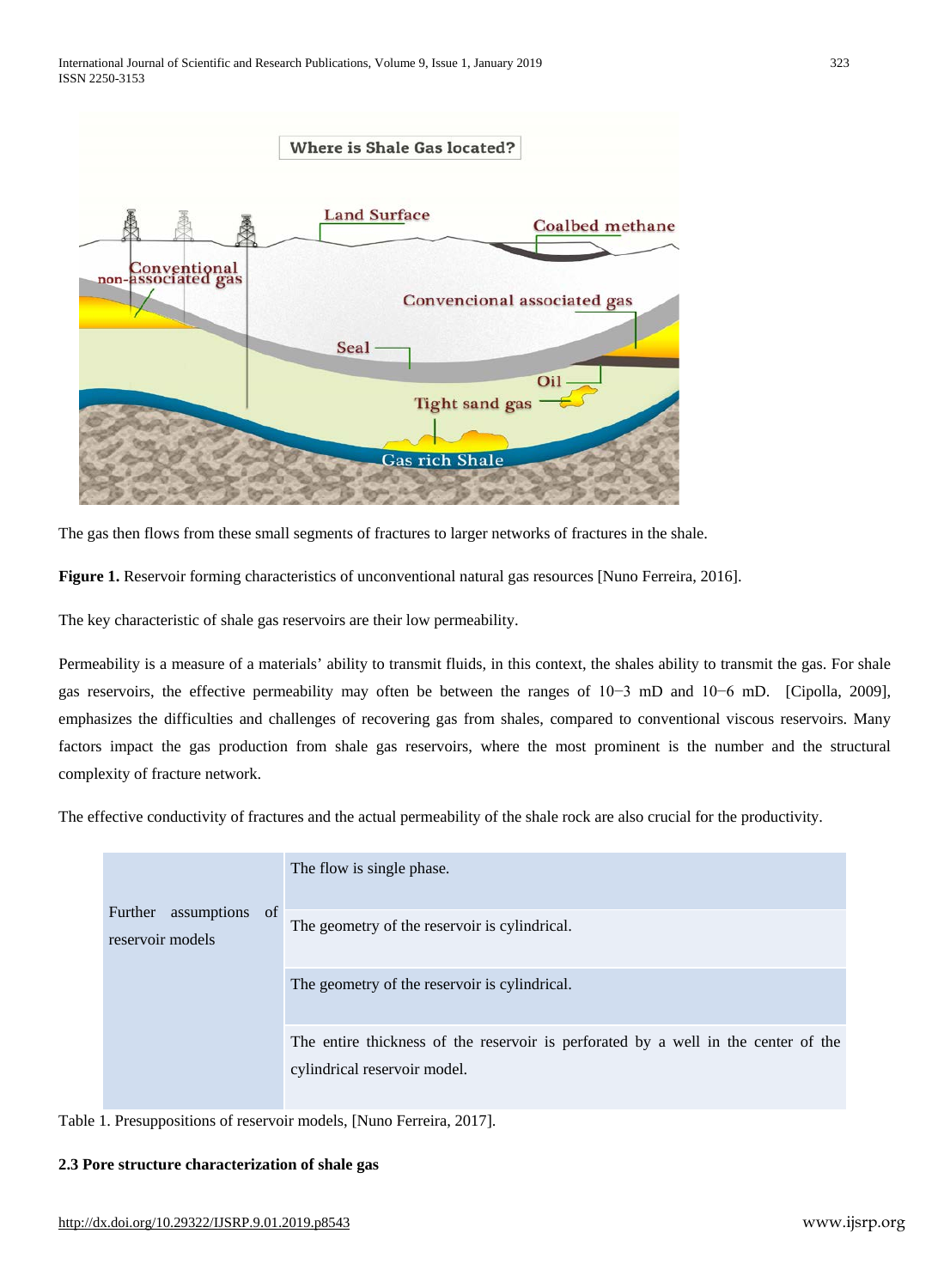

The gas then flows from these small segments of fractures to larger networks of fractures in the shale.

**Figure 1.** Reservoir forming characteristics of unconventional natural gas resources [Nuno Ferreira, 2016].

The key characteristic of shale gas reservoirs are their low permeability.

Permeability is a measure of a materials' ability to transmit fluids, in this context, the shales ability to transmit the gas. For shale gas reservoirs, the effective permeability may often be between the ranges of 10−3 mD and 10−6 mD. [Cipolla, 2009], emphasizes the difficulties and challenges of recovering gas from shales, compared to conventional viscous reservoirs. Many factors impact the gas production from shale gas reservoirs, where the most prominent is the number and the structural complexity of fracture network.

The effective conductivity of fractures and the actual permeability of the shale rock are also crucial for the productivity.

| assumptions<br>of<br>Further<br>reservoir models | The flow is single phase.                                                                                          |
|--------------------------------------------------|--------------------------------------------------------------------------------------------------------------------|
|                                                  | The geometry of the reservoir is cylindrical.                                                                      |
|                                                  | The geometry of the reservoir is cylindrical.                                                                      |
|                                                  | The entire thickness of the reservoir is perforated by a well in the center of the<br>cylindrical reservoir model. |

Table 1. Presuppositions of reservoir models, [Nuno Ferreira, 2017].

#### **2.3 Pore structure characterization of shale gas**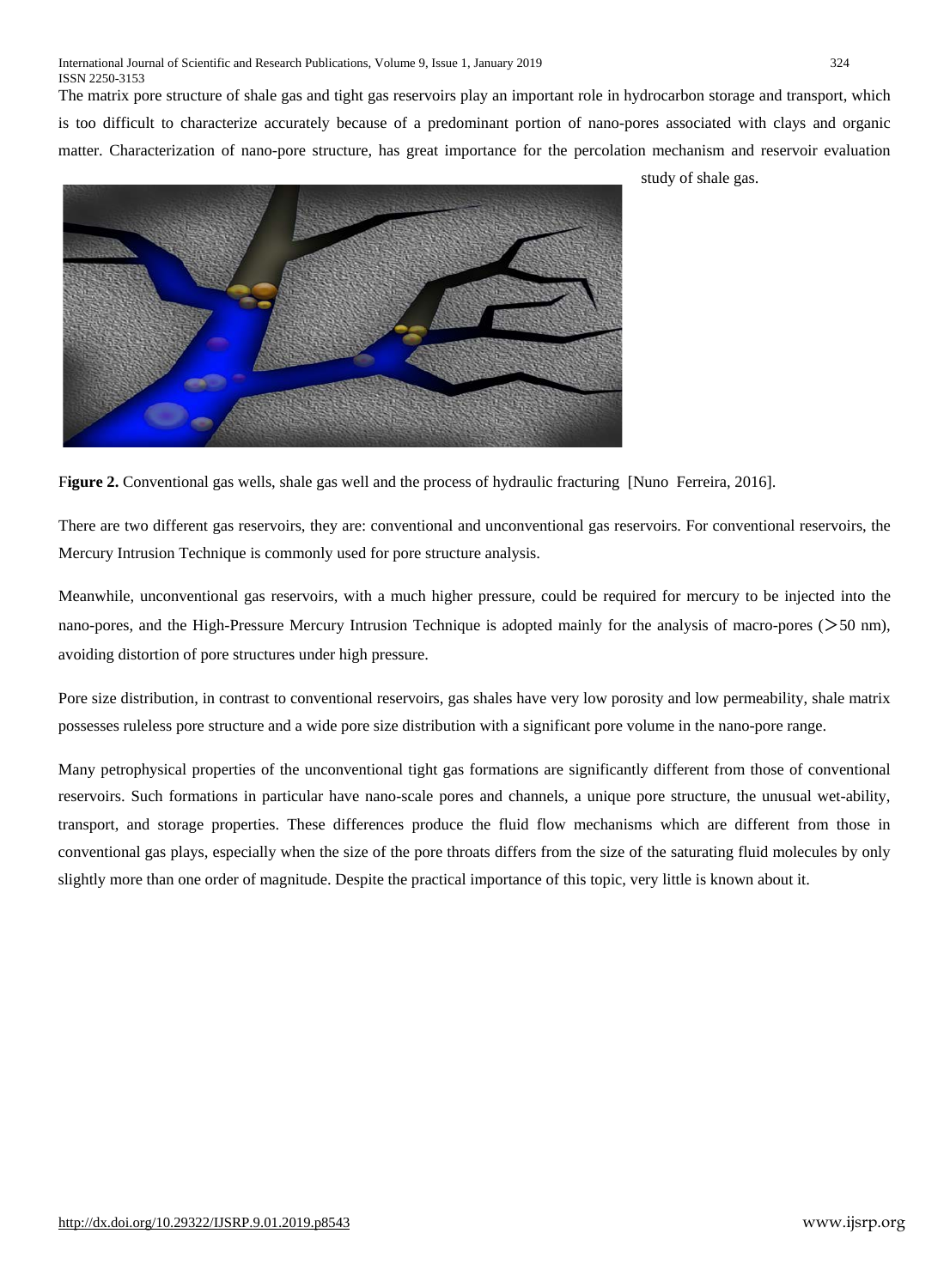The matrix pore structure of shale gas and tight gas reservoirs play an important role in hydrocarbon storage and transport, which is too difficult to characterize accurately because of a predominant portion of nano-pores associated with clays and organic matter. Characterization of nano-pore structure, has great importance for the percolation mechanism and reservoir evaluation



study of shale gas.

F**igure 2.** Conventional gas wells, shale gas well and the process of hydraulic fracturing [Nuno Ferreira, 2016].

There are two different gas reservoirs, they are: conventional and unconventional gas reservoirs. For conventional reservoirs, the Mercury Intrusion Technique is commonly used for pore structure analysis.

Meanwhile, unconventional gas reservoirs, with a much higher pressure, could be required for mercury to be injected into the nano-pores, and the High-Pressure Mercury Intrusion Technique is adopted mainly for the analysis of macro-pores (>50 nm), avoiding distortion of pore structures under high pressure.

Pore size distribution, in contrast to conventional reservoirs, gas shales have very low porosity and low permeability, shale matrix possesses ruleless pore structure and a wide pore size distribution with a significant pore volume in the nano-pore range.

Many petrophysical properties of the unconventional tight gas formations are significantly different from those of conventional reservoirs. Such formations in particular have nano-scale pores and channels, a unique pore structure, the unusual wet-ability, transport, and storage properties. These differences produce the fluid flow mechanisms which are different from those in conventional gas plays, especially when the size of the pore throats differs from the size of the saturating fluid molecules by only slightly more than one order of magnitude. Despite the practical importance of this topic, very little is known about it.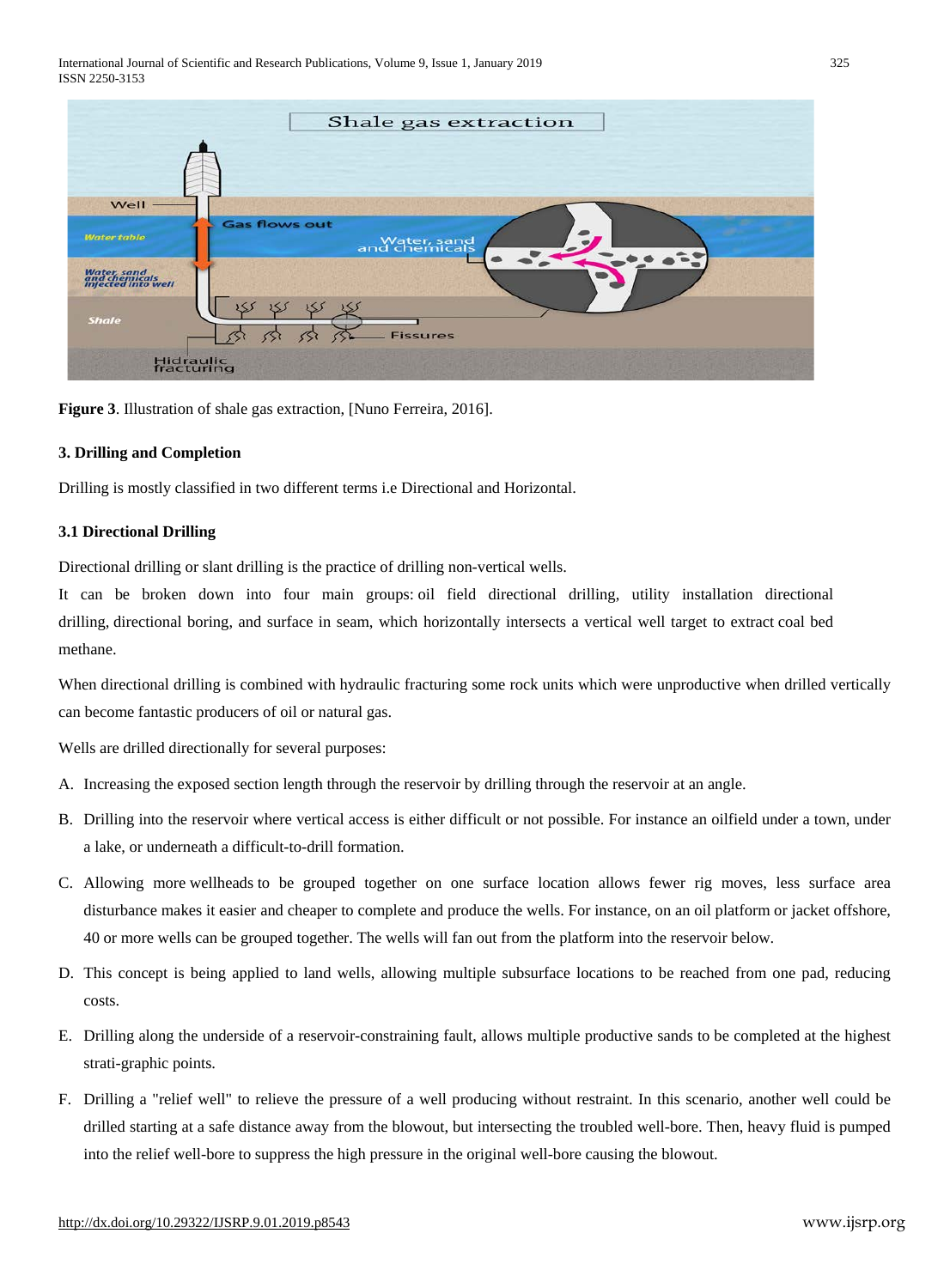International Journal of Scientific and Research Publications, Volume 9, Issue 1, January 2019 325 ISSN 2250-3153



**Figure 3**. Illustration of shale gas extraction, [Nuno Ferreira, 2016].

## **3. Drilling and Completion**

Drilling is mostly classified in two different terms i.e Directional and Horizontal.

#### **3.1 Directional Drilling**

Directional drilling or slant drilling is the practice of drilling non-vertical [wells.](https://en.wikipedia.org/wiki/Oil_well)

It can be broken down into four main groups: oil [field](https://en.wikipedia.org/wiki/Oilfield) directional drilling, utility installation directional drilling, [directional](https://en.wikipedia.org/wiki/Directional_boring) boring, and surface in seam, which horizontally intersects a vertical well target to extract [coal](https://en.wikipedia.org/wiki/Coal_bed_methane) bed [methane.](https://en.wikipedia.org/wiki/Coal_bed_methane)

When directional drilling is combined with hydraulic [fracturing](http://geology.com/articles/hydraulic-fracturing/) some rock units which were unproductive when drilled vertically can become fantastic producers of oil or natural gas.

Wells are drilled directionally for several purposes:

- A. Increasing the exposed section length through the reservoir by drilling through the reservoir at an angle.
- B. Drilling into the reservoir where vertical access is either difficult or not possible. For instance an oilfield under a town, under a lake, or underneath a difficult-to-drill formation.
- C. Allowing more [wellheads](https://en.wikipedia.org/wiki/Wellhead) to be grouped together on one surface location allows fewer rig moves, less surface area disturbance makes it easier and cheaper to complete and produce the wells. For instance, on an oil [platform](https://en.wikipedia.org/wiki/Oil_platform) or jacket offshore, 40 or more wells can be grouped together. The wells will fan out from the platform into the reservoir below.
- D. This concept is being applied to land wells, allowing multiple subsurface locations to be reached from one pad, reducing costs.
- E. Drilling along the underside of a reservoir-constraining fault, allows multiple productive sands to be completed at the highest strati-graphic points.
- F. Drilling a ["relief](https://en.wikipedia.org/wiki/Relief_well) well" to relieve the pressure of a well producing without restraint. In this scenario, another well could be drilled starting at a safe distance away from the blowout, but intersecting the troubled well-bore. Then, heavy fluid is pumped into the relief well-bore to suppress the high pressure in the original well-bore causing the blowout.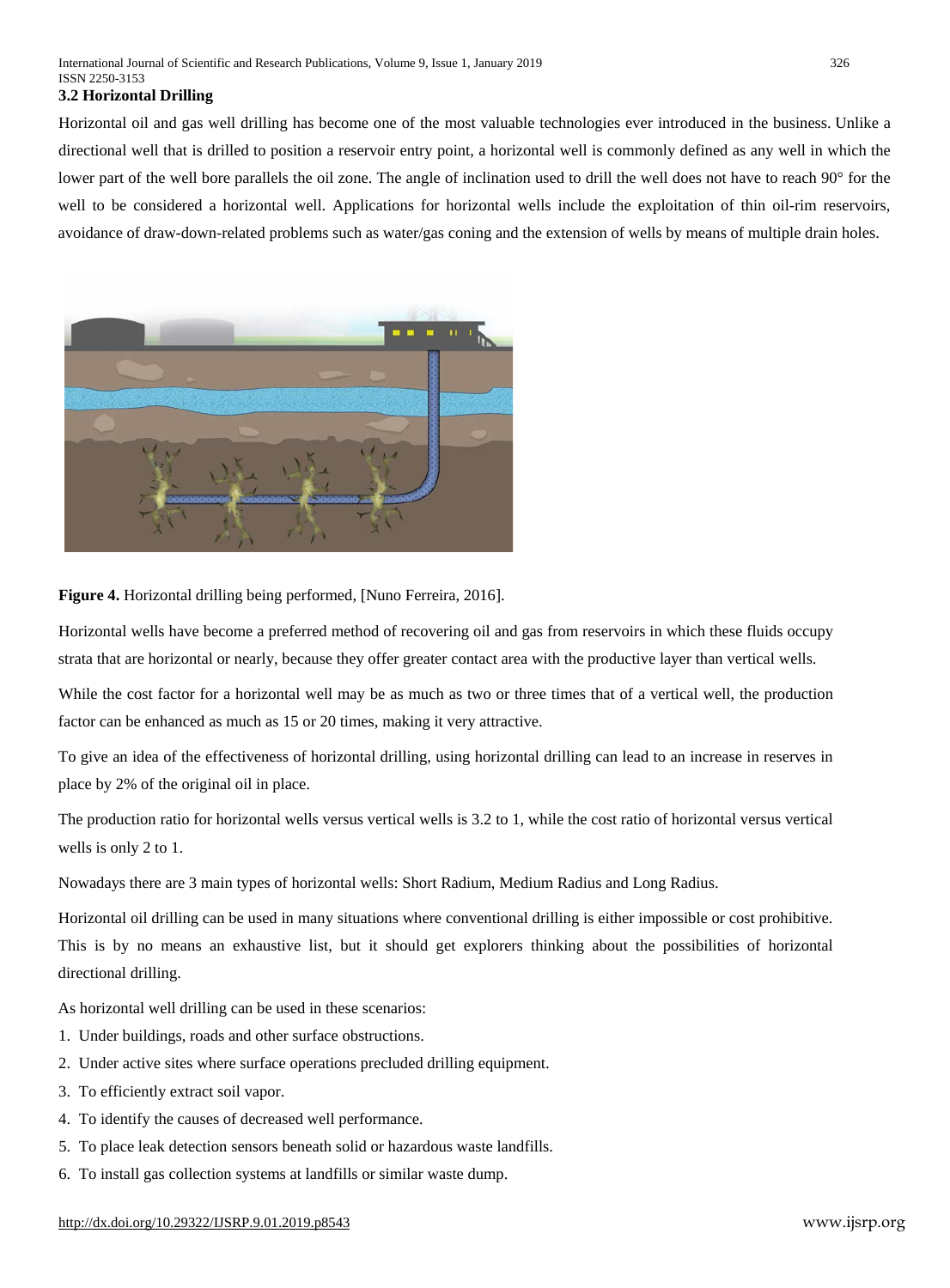#### **3.2 Horizontal Drilling**

Horizontal oil and gas well drilling has become one of the most valuable technologies ever introduced in the business. Unlike a directional well that is drilled to position a reservoir entry point, a horizontal well is commonly defined as any well in which the lower part of the well bore parallels the oil zone. The angle of inclination used to drill the well does not have to reach 90° for the well to be considered a horizontal well. Applications for horizontal wells include the exploitation of thin oil-rim reservoirs, avoidance of draw-down-related problems such as water/gas coning and the extension of wells by means of multiple drain holes.



**Figure 4.** Horizontal drilling being performed, [Nuno Ferreira, 2016].

Horizontal wells have become a preferred method of recovering oil and gas from reservoirs in which these fluids occupy strata that are horizontal or nearly, because they offer greater contact area with the productive layer than vertical wells.

While the cost factor for a horizontal well may be as much as two or three times that of a vertical well, the production factor can be enhanced as much as 15 or 20 times, making it very attractive.

To give an idea of the effectiveness of horizontal drilling, using horizontal drilling can lead to an increase in reserves in place by 2% of the original oil in place.

The production ratio for horizontal wells versus vertical wells is 3.2 to 1, while the cost ratio of horizontal versus vertical wells is only 2 to 1.

Nowadays there are 3 main types of horizontal wells: Short Radium, Medium Radius and Long Radius.

Horizontal oil drilling can be used in many situations where conventional drilling is either impossible or cost prohibitive. This is by no means an exhaustive list, but it should get explorers thinking about the possibilities of horizontal directional drilling.

As horizontal well drilling can be used in these scenarios:

- 1. Under buildings, roads and other surface obstructions.
- 2. Under active sites where surface operations precluded drilling equipment.
- 3. To efficiently extract soil vapor.
- 4. To identify the causes of decreased well performance.
- 5. To place leak detection sensors beneath solid or hazardous waste landfills.
- 6. To install gas collection systems at landfills or similar waste dump.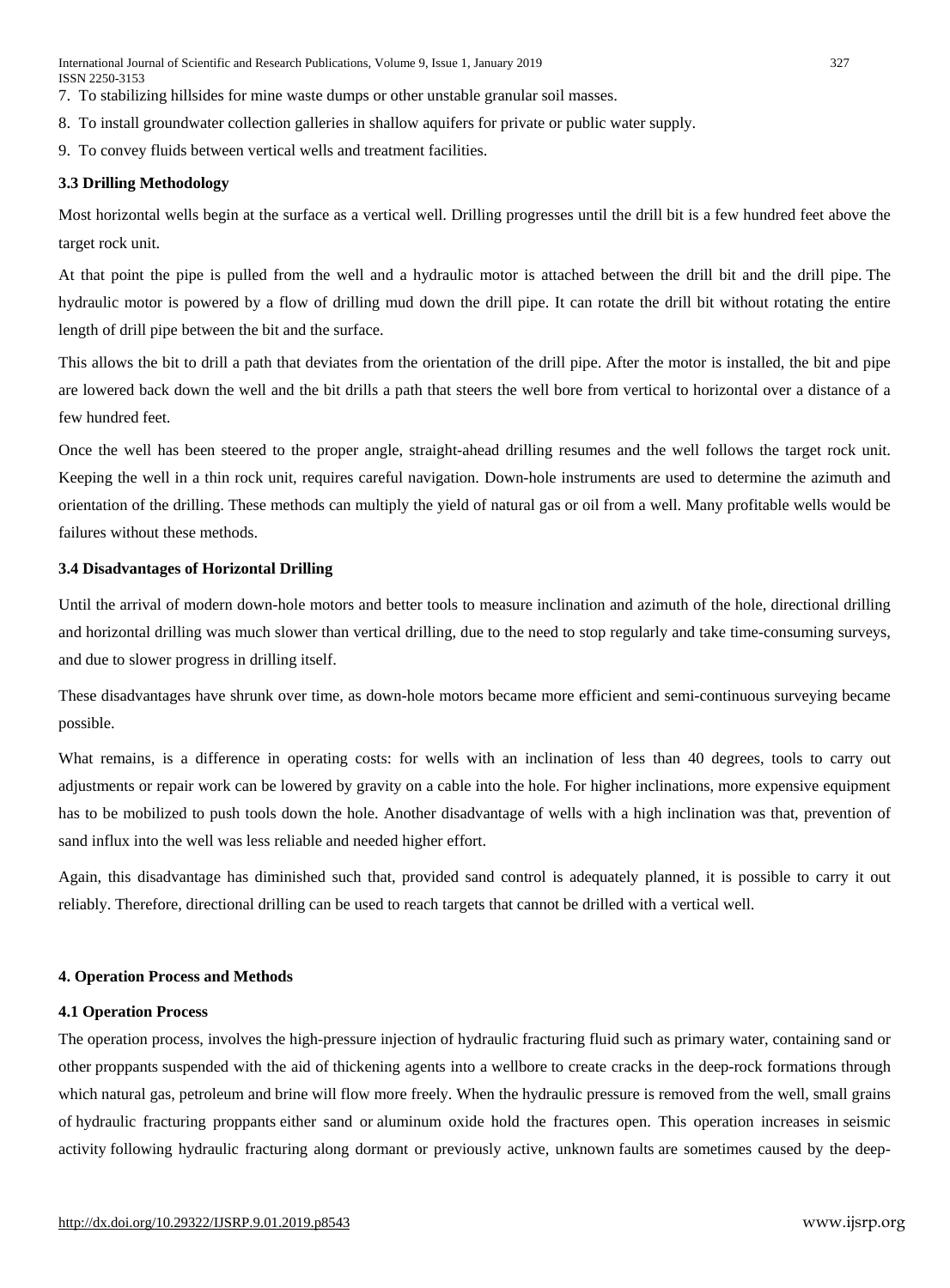International Journal of Scientific and Research Publications, Volume 9, Issue 1, January 2019 327 ISSN 2250-3153

- 7. To stabilizing hillsides for mine waste dumps or other unstable granular soil masses.
- 8. To install groundwater collection galleries in shallow aquifers for private or public water supply.
- 9. To convey fluids between vertical wells and treatment facilities.

#### **3.3 Drilling Methodology**

Most horizontal wells begin at the surface as a vertical well. Drilling progresses until the drill bit is a few hundred feet above the target rock unit.

At that point the pipe is pulled from the well and a hydraulic motor is attached between the drill bit and the drill pipe. The hydraulic motor is powered by a flow of drilling mud down the drill pipe. It can rotate the drill bit without rotating the entire length of drill pipe between the bit and the surface.

This allows the bit to drill a path that deviates from the orientation of the drill pipe. After the motor is installed, the bit and pipe are lowered back down the well and the bit drills a path that steers the well bore from vertical to horizontal over a distance of a few hundred feet.

Once the well has been steered to the proper angle, straight-ahead drilling resumes and the well follows the target rock unit. Keeping the well in a thin rock unit, requires careful navigation. Down-hole instruments are used to determine the azimuth and orientation of the drilling. These methods can multiply the yield of natural gas or oil from a well. Many profitable wells would be failures without these methods.

#### **3.4 Disadvantages of Horizontal Drilling**

Until the arrival of modern down-hole motors and better tools to measure inclination and azimuth of the hole, directional drilling and horizontal drilling was much slower than vertical drilling, due to the need to stop regularly and take time-consuming surveys, and due to slower progress in drilling itself.

These disadvantages have shrunk over time, as down-hole motors became more efficient and semi-continuous surveying became possible.

What remains, is a difference in operating costs: for wells with an inclination of less than 40 degrees, tools to carry out adjustments or repair work can be lowered by gravity on a cable into the hole. For higher inclinations, more expensive equipment has to be mobilized to push tools down the hole. Another disadvantage of wells with a high inclination was that, prevention of sand influx into the well was less reliable and needed higher effort.

Again, this disadvantage has diminished such that, provided sand control is adequately planned, it is possible to carry it out reliably. Therefore, directional drilling can be used to reach targets that cannot be drilled with a vertical well.

#### **4. Operation Process and Methods**

#### **4.1 Operation Process**

The operation process, involves the high-pressure injection of hydraulic fracturing fluid such as primary water, containing sand or other [proppants](https://en.wikipedia.org/wiki/Hydraulic_fracturing_proppants) suspended with the aid of [thickening](https://en.wikipedia.org/wiki/Thickening_agent) agents into a [wellbore](https://en.wikipedia.org/wiki/Wellbore) to create cracks in the deep-rock formations through which [natural](https://en.wikipedia.org/wiki/Natural_gas) gas, [petroleum](https://en.wikipedia.org/wiki/Petroleum) and [brine](https://en.wikipedia.org/wiki/Brine) will flow more freely. When the [hydraulic](https://en.wikipedia.org/wiki/Hydraulic_pressure) pressure is removed from the well, small grains of hydraulic fracturing [proppants](https://en.wikipedia.org/wiki/Hydraulic_fracturing_proppants) either sand or [aluminum](https://en.wikipedia.org/wiki/Aluminium_oxide) oxide hold the fractures open. This operation increases in [seismic](https://en.wikipedia.org/wiki/Seismic_activity) [activity](https://en.wikipedia.org/wiki/Seismic_activity) following hydraulic fracturing along dormant or previously active, unknown [faults](https://en.wikipedia.org/wiki/Fault_(geology)) are sometimes caused by the deep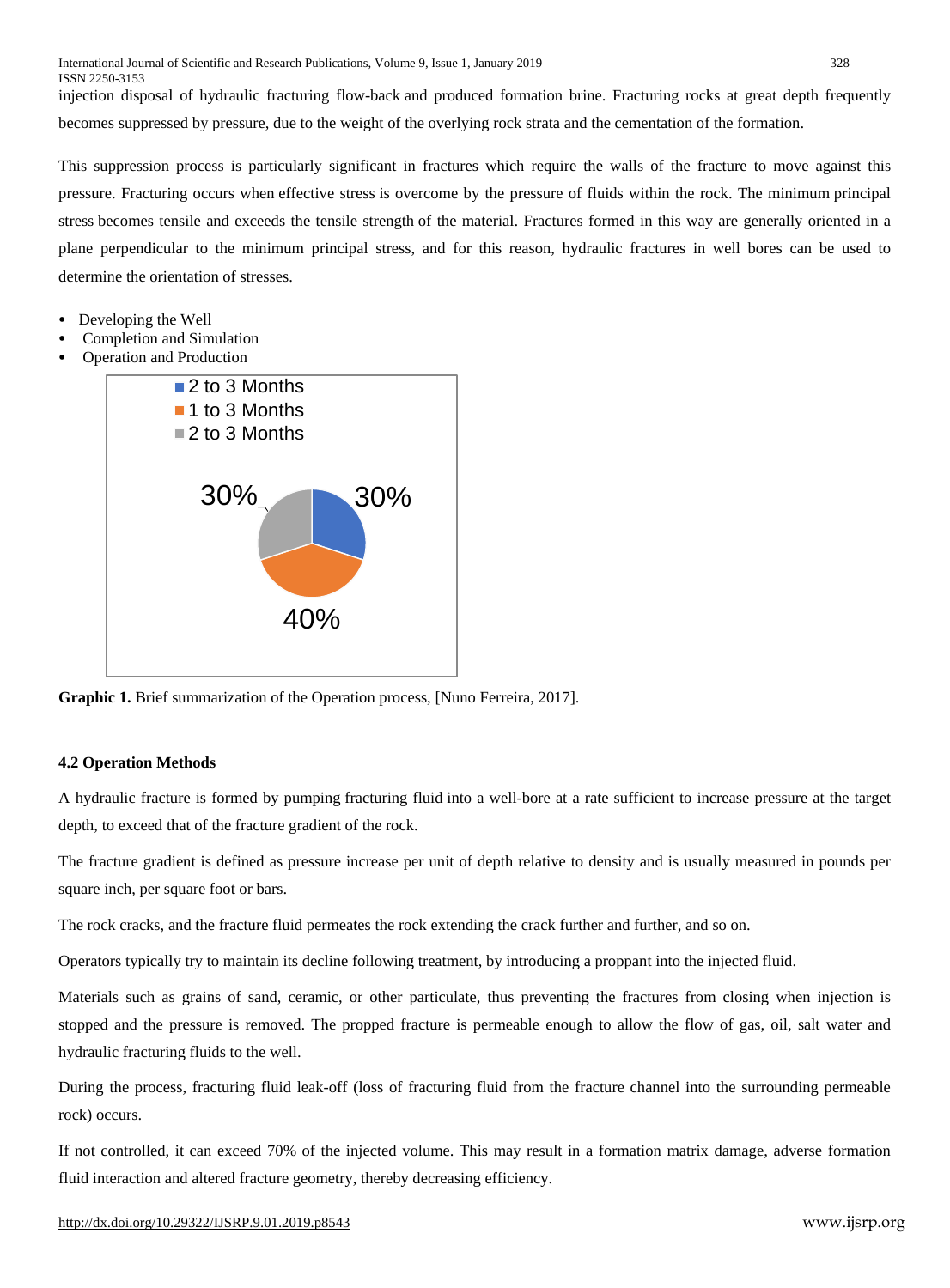injection disposal of hydraulic fracturing flow-back and produced formation brine. Fracturing rocks at great depth frequently becomes suppressed by [pressure,](https://en.wikipedia.org/wiki/Pressure) due to the weight of the overlying rock strata and the cementation of the formation.

This suppression process is particularly significant in fractures which require the walls of the fracture to move against this pressure. Fracturing occurs when [effective](https://en.wikipedia.org/wiki/Effective_stress) stress is overcome by the pressure of fluids within the rock. The minimum [principal](https://en.wikipedia.org/wiki/Principal_stress) [stress](https://en.wikipedia.org/wiki/Principal_stress) becomes tensile and exceeds the tensile [strength](https://en.wikipedia.org/wiki/Tensile_strength) of the material. Fractures formed in this way are generally oriented in a plane perpendicular to the minimum principal stress, and for this reason, hydraulic fractures in well bores can be used to determine the orientation of stresses.

- Developing the Well
- Completion and Simulation
- Operation and Production



**Graphic 1.** Brief summarization of the Operation process, [Nuno Ferreira, 2017].

# **4.2 Operation Methods**

A hydraulic fracture is formed by pumping [fracturing](https://en.wikipedia.org/wiki/Fracturing_fluid) fluid into a well-bore at a rate sufficient to increase pressure at the target depth, to exceed that of the fracture gradient of the rock.

The fracture gradient is defined as pressure increase per unit of depth relative to density and is usually measured in pounds per square inch, per square foot or bars.

The rock cracks, and the fracture fluid permeates the rock extending the crack further and further, and so on.

Operators typically try to maintain its decline following treatment, by introducing a [proppant](https://en.wikipedia.org/wiki/Proppant) into the injected fluid.

Materials such as grains of sand, ceramic, or other particulate, thus preventing the fractures from closing when injection is stopped and the pressure is removed. The propped fracture is permeable enough to allow the flow of gas, oil, salt water and hydraulic fracturing fluids to the well.

During the process, fracturing fluid leak-off (loss of fracturing fluid from the fracture channel into the surrounding permeable rock) occurs.

If not controlled, it can exceed 70% of the injected volume. This may result in a formation matrix damage, adverse formation fluid interaction and altered fracture geometry, thereby decreasing efficiency.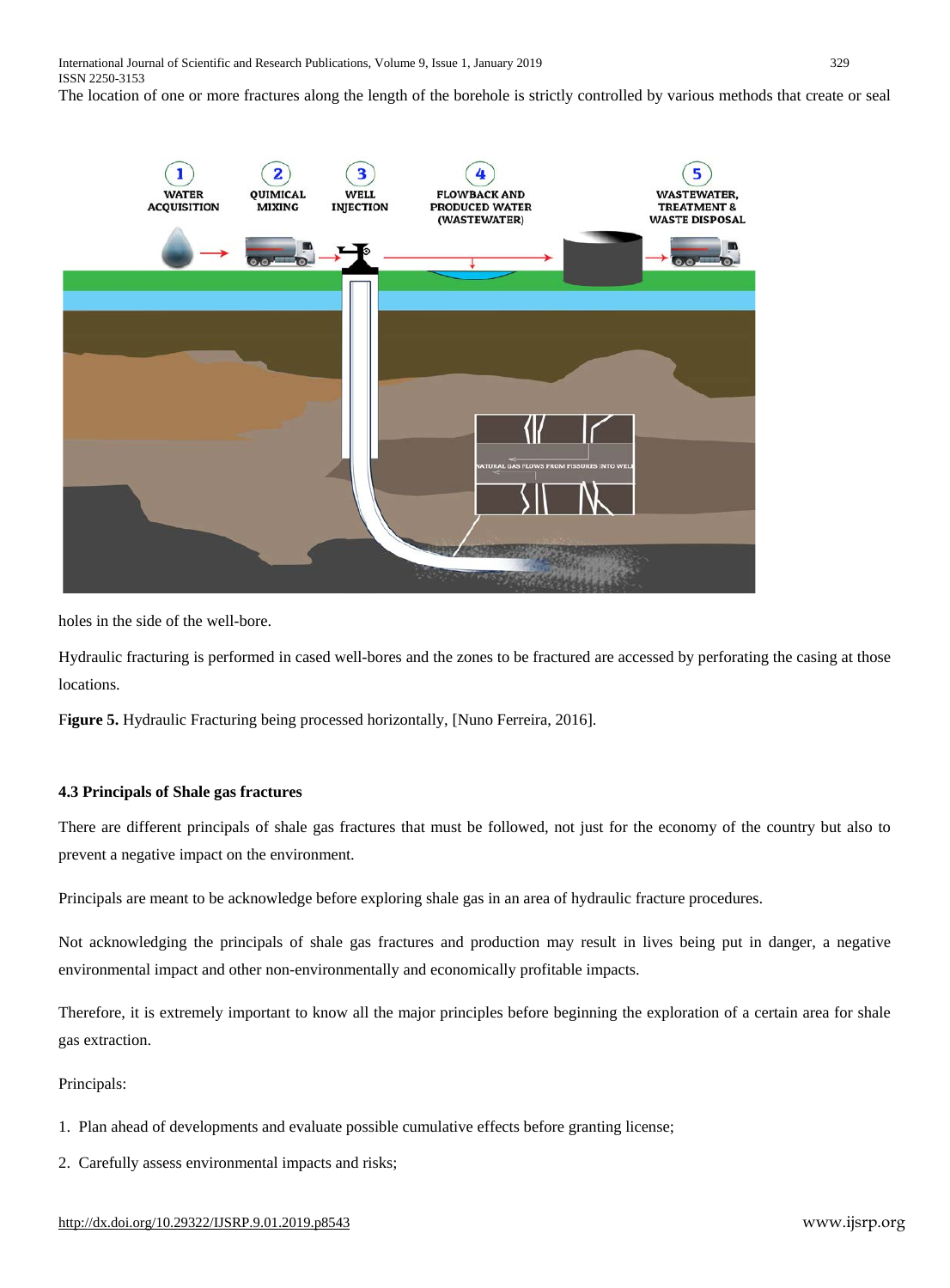The location of one or more fractures along the length of the borehole is strictly controlled by various methods that create or seal



holes in the side of the well-bore.

Hydraulic fracturing is performed in [cased](https://en.wikipedia.org/wiki/Casing_(borehole)) well-bores and the zones to be fractured are accessed by [perforating](https://en.wikipedia.org/wiki/Perforation_(oil_well)) the casing at those locations.

F**igure 5.** Hydraulic Fracturing being processed horizontally, [Nuno Ferreira, 2016].

## **4.3 Principals of Shale gas fractures**

There are different principals of shale gas fractures that must be followed, not just for the economy of the country but also to prevent a negative impact on the environment.

Principals are meant to be acknowledge before exploring shale gas in an area of hydraulic fracture procedures.

Not acknowledging the principals of shale gas fractures and production may result in lives being put in danger, a negative environmental impact and other non-environmentally and economically profitable impacts.

Therefore, it is extremely important to know all the major principles before beginning the exploration of a certain area for shale gas extraction.

Principals:

- 1. Plan ahead of developments and evaluate possible cumulative effects before granting license;
- 2. Carefully assess environmental impacts and risks;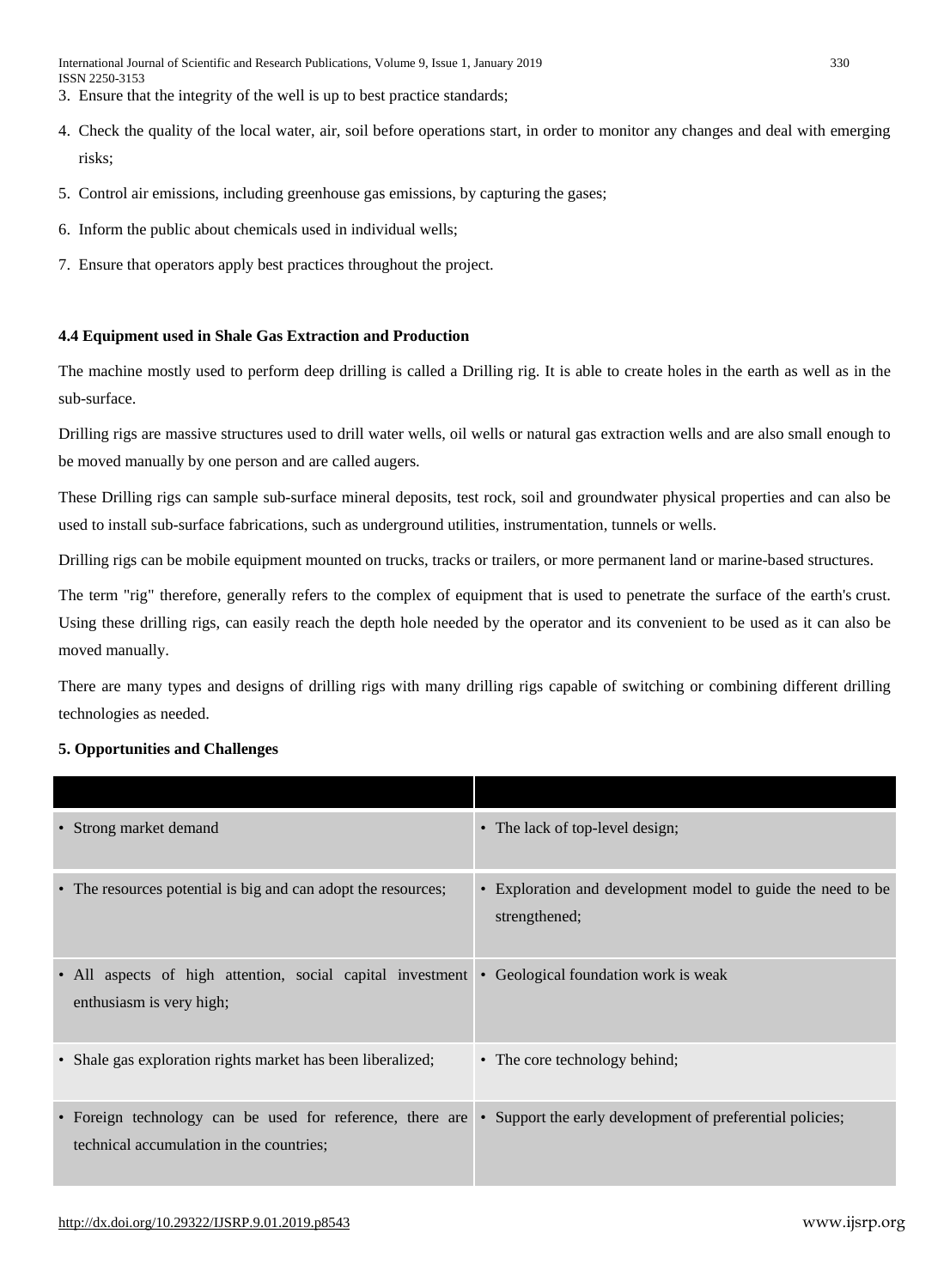- 3. Ensure that the integrity of the well is up to best practice standards;
- 4. Check the quality of the local water, air, soil before operations start, in order to monitor any changes and deal with emerging risks;
- 5. Control air emissions, including greenhouse gas emissions, by capturing the gases;
- 6. Inform the public about chemicals used in individual wells;
- 7. Ensure that operators apply best practices throughout the project.

# **4.4 Equipment used in Shale Gas Extraction and Production**

The machine mostly used to perform deep drilling is called a Drilling rig. It is able to [create](https://en.wikipedia.org/wiki/Drilling) holes in the earth as well as in the sub-surface.

Drilling rigs are massive structures used to drill water wells, oil wells or natural gas extraction wells and are also small enough to be moved manually by one person and are called [augers.](https://en.wikipedia.org/wiki/Auger_(drill))

These Drilling rigs can sample sub-surface mineral deposits, test rock, soil and groundwater physical properties and can also be used to install sub-surface fabrications, such as underground utilities, instrumentation, tunnels or wells.

Drilling rigs can be mobile equipment mounted on trucks, tracks or trailers, or more permanent land or marine-based structures.

The term "rig" therefore, generally refers to the complex of equipment that is used to penetrate the surface of the earth's [crust.](https://en.wikipedia.org/wiki/Continental_crust) Using these drilling rigs, can easily reach the depth hole needed by the operator and its convenient to be used as it can also be moved manually.

There are many types and designs of drilling rigs with many drilling rigs capable of switching or combining different drilling technologies as needed.

# **5. Opportunities and Challenges**

| • Strong market demand                                                                                | • The lack of top-level design;                                              |
|-------------------------------------------------------------------------------------------------------|------------------------------------------------------------------------------|
| • The resources potential is big and can adopt the resources;                                         | • Exploration and development model to guide the need to be<br>strengthened; |
| • All aspects of high attention, social capital investment<br>enthusiasm is very high;                | • Geological foundation work is weak                                         |
| • Shale gas exploration rights market has been liberalized;                                           | • The core technology behind;                                                |
| • Foreign technology can be used for reference, there are<br>technical accumulation in the countries; | • Support the early development of preferential policies;                    |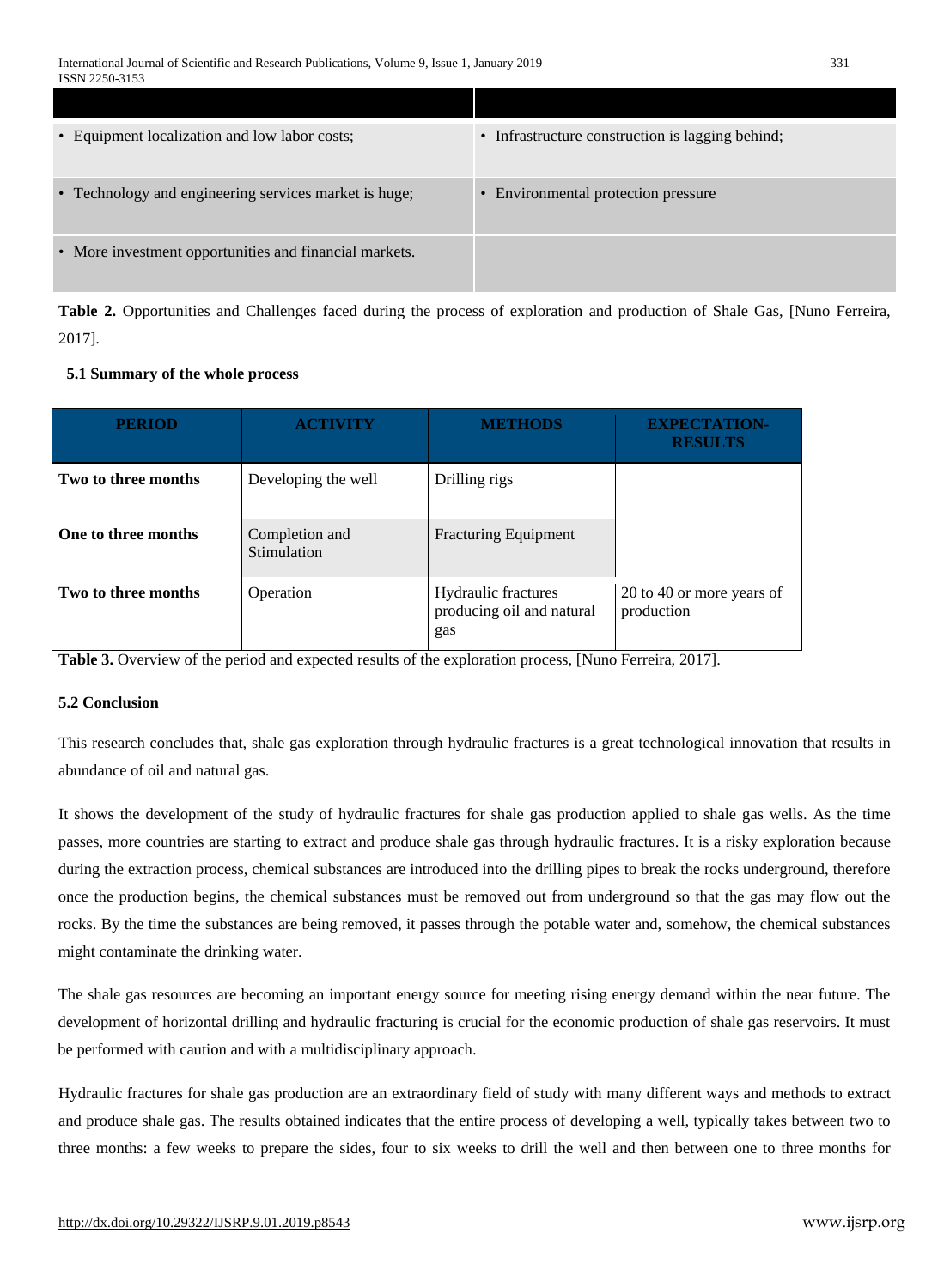| • Equipment localization and low labor costs;          | • Infrastructure construction is lagging behind; |
|--------------------------------------------------------|--------------------------------------------------|
| • Technology and engineering services market is huge;  | • Environmental protection pressure              |
| • More investment opportunities and financial markets. |                                                  |

**Table 2.** Opportunities and Challenges faced during the process of exploration and production of Shale Gas, [Nuno Ferreira, 2017].

# **5.1 Summary of the whole process**

| <b>PERIOD</b>       | <b>ACTIVITY</b>               | <b>METHODS</b>                                          | <b>EXPECTATION-</b><br><b>RESULTS</b>   |
|---------------------|-------------------------------|---------------------------------------------------------|-----------------------------------------|
| Two to three months | Developing the well           | Drilling rigs                                           |                                         |
| One to three months | Completion and<br>Stimulation | <b>Fracturing Equipment</b>                             |                                         |
| Two to three months | Operation                     | Hydraulic fractures<br>producing oil and natural<br>gas | 20 to 40 or more years of<br>production |

**Table 3.** Overview of the period and expected results of the exploration process, [Nuno Ferreira, 2017].

# **5.2 Conclusion**

This research concludes that, shale gas exploration through hydraulic fractures is a great technological innovation that results in abundance of oil and natural gas.

It shows the development of the study of hydraulic fractures for shale gas production applied to shale gas wells. As the time passes, more countries are starting to extract and produce shale gas through hydraulic fractures. It is a risky exploration because during the extraction process, chemical substances are introduced into the drilling pipes to break the rocks underground, therefore once the production begins, the chemical substances must be removed out from underground so that the gas may flow out the rocks. By the time the substances are being removed, it passes through the potable water and, somehow, the chemical substances might contaminate the drinking water.

The shale gas resources are becoming an important energy source for meeting rising energy demand within the near future. The development of horizontal drilling and hydraulic fracturing is crucial for the economic production of shale gas reservoirs. It must be performed with caution and with a multidisciplinary approach.

Hydraulic fractures for shale gas production are an extraordinary field of study with many different ways and methods to extract and produce shale gas. The results obtained indicates that the entire process of developing a well, typically takes between two to three months: a few weeks to prepare the sides, four to six weeks to drill the well and then between one to three months for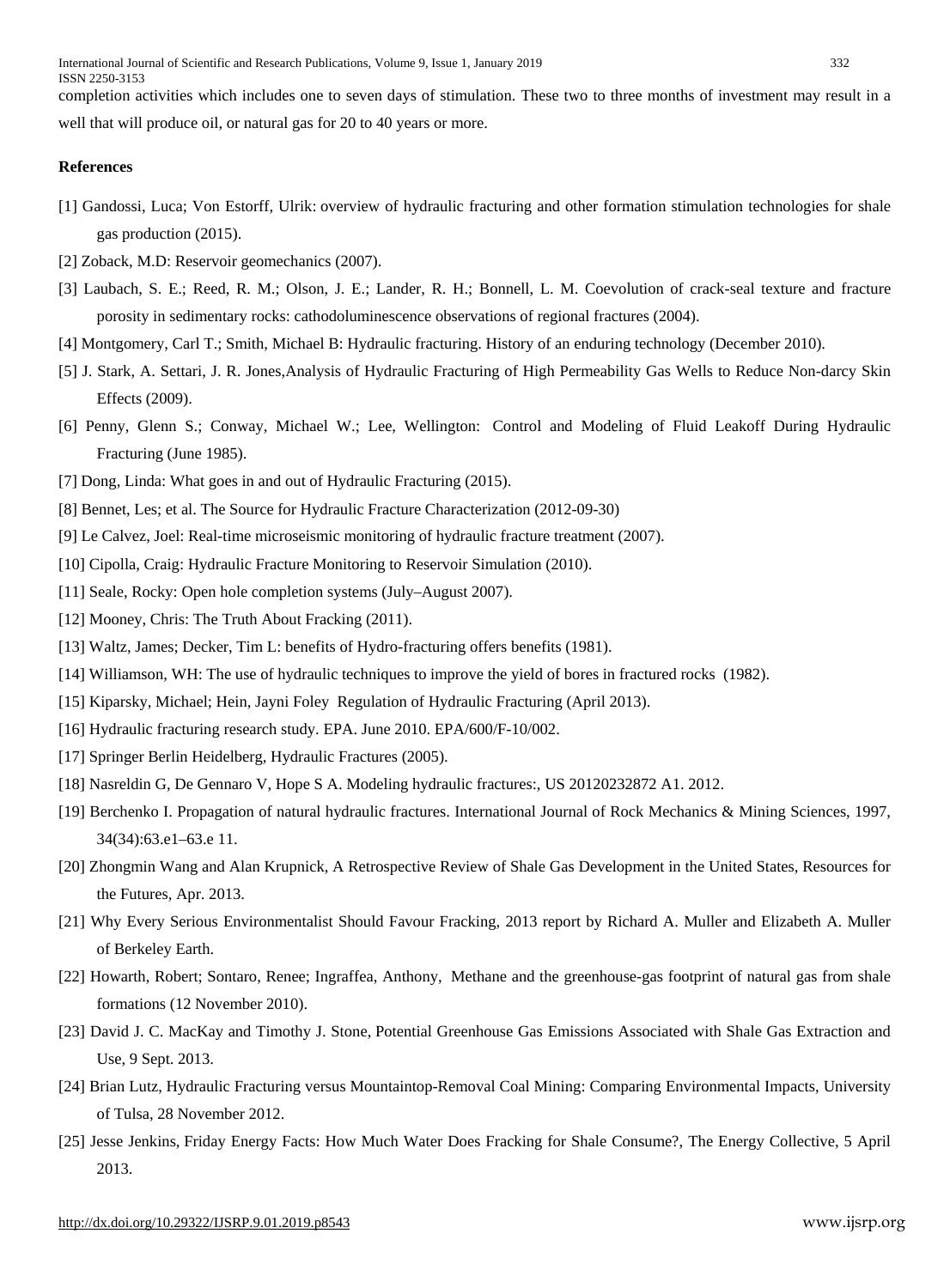completion activities which includes one to seven days of stimulation. These two to three months of investment may result in a well that will produce oil, or natural gas for 20 to 40 years or more.

#### **References**

- [1] Gandossi, Luca; Von Estorff, Ulrik: overview of hydraulic fracturing and other formation stimulation [technologies](https://ec.europa.eu/jrc/en/publication/eur-scientific-and-technical-research-reports/overview-hydraulic-fracturing-and-other-formation-stimulation-technologies-shale-gas-0) for shale gas [production](https://ec.europa.eu/jrc/en/publication/eur-scientific-and-technical-research-reports/overview-hydraulic-fracturing-and-other-formation-stimulation-technologies-shale-gas-0) (2015).
- [2] Zoback, M.D: Reservoir [geomechanics](https://books.google.com/books?id=Xx63OaM2JIIC&pg=PA18) (2007).
- [3] Laubach, S. E.; Reed, R. M.; Olson, J. E.; Lander, R. H.; Bonnell, L. M. [Coevolution](http://www.sciencedirect.com/science/article/pii/S0191814103001858) of crack-seal texture and fracture porosity in sedimentary rocks: [cathodoluminescence](http://www.sciencedirect.com/science/article/pii/S0191814103001858) observations of regional fractures (2004).
- [4] Montgomery, Carl T.; Smith, Michael B: Hydraulic fracturing. History of an enduring [technology](http://www.spe.org/jpt/print/archives/2010/12/10Hydraulic.pdf) (December 2010).
- [5] J. Stark, A. Settari, J. R. Jones,Analysis of Hydraulic Fracturing of High [Permeability](http://www.onepetro.org/mslib/servlet/onepetropreview?id=PETSOC-98-71) Gas Wells to Reduce Non-darcy Skin [Effects](http://www.onepetro.org/mslib/servlet/onepetropreview?id=PETSOC-98-71) (2009).
- [6] Penny, Glenn S.; Conway, Michael W.; Lee, Wellington: Control and Modeling of Fluid Leakoff During [Hydraulic](https://web.archive.org/20120713171641/http:/www.onepetro.org/mslib/servlet/onepetropreview?id=00012486) [Fracturing](https://web.archive.org/20120713171641/http:/www.onepetro.org/mslib/servlet/onepetropreview?id=00012486) (June 1985).
- [7] Dong, Linda: What goes in and out of Hydraulic [Fracturing](http://www.dangersoffracking.com/) (2015).
- [8] Bennet, Les; et al. The Source for Hydraulic Fracture [Characterization](https://www.slb.com/%7E/media/Files/resources/oilfield_review/ors05/win05/04_the_source_for_hydraulic.ashx) (2012-09-30)
- [9] Le Calvez, Joel: Real-time microseismic monitoring of hydraulic fracture treatment (2007).
- [10] Cipolla, Craig: Hydraulic Fracture [Monitoring](http://www.slb.com/resources/technical_papers/stimulation/133877.aspx) to Reservoir Simulation (2010).
- [11] Seale, Rocky: Open hole [completion](http://drillingcontractor.org/dcpi/dc-julyaug07/DC_July07_PackersPlus.pdf) systems (July–August 2007).
- [12] Mooney, Chris: The Truth About [Fracking](http://www.scientificamerican.com/article.cfm?id=the-truth-about-fracking) (2011).
- [13] Waltz, James; Decker, Tim L: benefits of Hydro-fracturing offers benefits (1981).
- [14] Williamson, WH: The use of hydraulic techniques to improve the yield of bores in fractured rocks (1982).
- [15] Kiparsky, Michael; Hein, Jayni Foley [Regulation](https://www.law.berkeley.edu/files/ccelp/Wheeler_HydraulicFracturing_April2013.pdf) of Hydraulic Fracturing (April 2013).
- [16] [Hydraulic](http://www.epa.gov/safewater/uic/pdfs/hfresearchstudyfs.pdf) fracturing research study. [EPA.](https://en.wikipedia.org/wiki/United_States_Environmental_Protection_Agency) June 2010. EPA/600/F-10/002.
- [17] Springer Berlin Heidelberg, Hydraulic Fractures (2005).
- [18] Nasreldin G, De Gennaro V, Hope S A. Modeling hydraulic fractures:, US 20120232872 A1. 2012.
- [19] Berchenko I. Propagation of natural hydraulic fractures. International Journal of Rock Mechanics & Mining Sciences, 1997, 34(34):63.e1–63.e 11.
- [20] Zhongmin Wang and Alan Krupnick, A [Retrospective](http://www.rff.org/RFF/documents/RFF-DP-13-12.pdf) Review of Shale Gas Development in the United States, Resources for the Futures, Apr. 2013.
- [21] Why Every Serious [Environmentalist](http://www.cps.org.uk/files/reports/original/131202135150-WhyEverySeriousEnvironmentalistShouldFavourFracking.pdf) Should Favour Fracking, 2013 report by Richard A. Muller and Elizabeth A. Muller of [Berkeley](https://en.wikipedia.org/wiki/Berkeley_Earth) Earth.
- [22] Howarth, Robert; Sontaro, Renee; Ingraffea, Anthony, Methane and the [greenhouse-gas](http://www.eeb.cornell.edu/howarth/Howarth%252525252525252525252525252525252520et%252525252525252525252525252525252520al%252525252525252525252525252525252520%2525252525252525252525252525252525202011.pdf) footprint of natural gas from shale [formations](http://www.eeb.cornell.edu/howarth/Howarth%252525252525252525252525252525252520et%252525252525252525252525252525252520al%252525252525252525252525252525252520%2525252525252525252525252525252525202011.pdf) (12 November 2010).
- [23] David J. C. MacKay and Timothy J. Stone, Potential [Greenhouse](https://www.gov.uk/government/uploads/system/uploads/attachment_data/file/237330/MacKay_Stone_shale_study_report_09092013.pdf) Gas Emissions Associated with Shale Gas Extraction and [Use,](https://www.gov.uk/government/uploads/system/uploads/attachment_data/file/237330/MacKay_Stone_shale_study_report_09092013.pdf) 9 Sept. 2013.
- [24] Brian Lutz, Hydraulic Fracturing versus [Mountaintop-Removal](http://www.tualumni.com/s/1174/index.aspx?sid=1174&gid=1&pgid=1317&crid=0&calpgid=13&calcid=664) Coal Mining: Comparing Environmental Impacts, University of Tulsa, 28 November 2012.
- [25] Jesse Jenkins, Friday Energy Facts: How Much Water Does Fracking for Shale [Consume?,](http://theenergycollective.com/jessejenkins/205481/friday-energy-facts-how-much-water-does-fracking-shale-gas-consume) The Energy Collective, 5 April 2013.